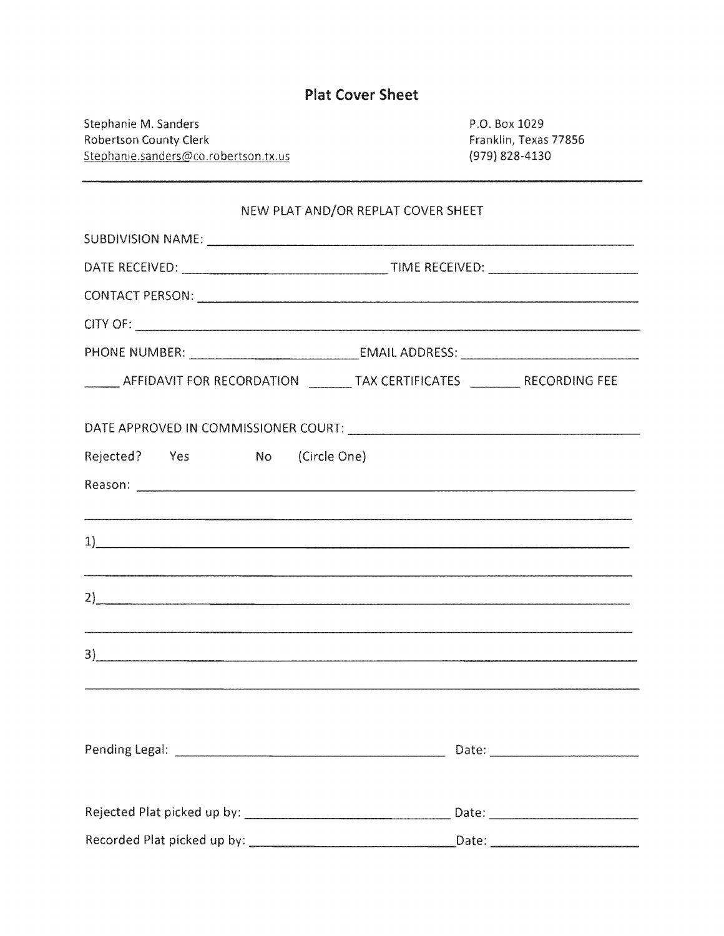|  | <b>Plat Cover Sheet</b> |  |  |  |  |  |  |  |
|--|-------------------------|--|--|--|--|--|--|--|
|  |                         |  |  |  |  |  |  |  |

Stephanie M. Sanders Robertson County Clerk Stephanie.sanders@co.robertson.tx.us

P.O. Box 1029 Franklin, Texas 77856 (979) 828-4130

| NEW PLAT AND/OR REPLAT COVER SHEET                                                   |  |  |  |  |  |  |  |  |
|--------------------------------------------------------------------------------------|--|--|--|--|--|--|--|--|
|                                                                                      |  |  |  |  |  |  |  |  |
|                                                                                      |  |  |  |  |  |  |  |  |
|                                                                                      |  |  |  |  |  |  |  |  |
|                                                                                      |  |  |  |  |  |  |  |  |
|                                                                                      |  |  |  |  |  |  |  |  |
| _______ AFFIDAVIT FOR RECORDATION ________ TAX CERTIFICATES __________ RECORDING FEE |  |  |  |  |  |  |  |  |
|                                                                                      |  |  |  |  |  |  |  |  |
| Rejected? Yes No (Circle One)                                                        |  |  |  |  |  |  |  |  |
|                                                                                      |  |  |  |  |  |  |  |  |
|                                                                                      |  |  |  |  |  |  |  |  |
|                                                                                      |  |  |  |  |  |  |  |  |
|                                                                                      |  |  |  |  |  |  |  |  |
|                                                                                      |  |  |  |  |  |  |  |  |
|                                                                                      |  |  |  |  |  |  |  |  |
| <u>3)</u>                                                                            |  |  |  |  |  |  |  |  |
|                                                                                      |  |  |  |  |  |  |  |  |
|                                                                                      |  |  |  |  |  |  |  |  |
|                                                                                      |  |  |  |  |  |  |  |  |
|                                                                                      |  |  |  |  |  |  |  |  |
|                                                                                      |  |  |  |  |  |  |  |  |
|                                                                                      |  |  |  |  |  |  |  |  |
|                                                                                      |  |  |  |  |  |  |  |  |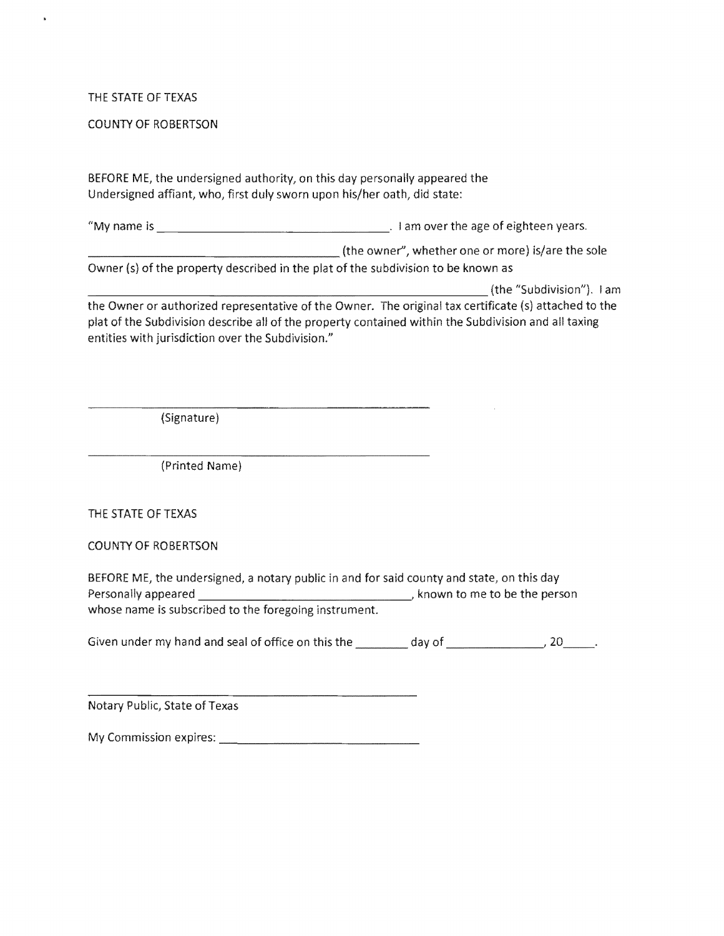## THE STATE OF TEXAS

 $\ddot{\phantom{1}}$ 

## COUNTY OF ROBERTSON

BEFORE ME, the undersigned authority, on this day personally appeared the Undersigned affiant, who, first duly sworn upon his/her oath, did state:

"My name is \_\_\_\_\_\_\_\_\_\_\_\_\_\_\_\_ I am over the age of years.

The owner", whether one or more) is/are the sole

Owner (s) of the property described in the plat of the subdivision to be known as

(the "Subdivision"). I am the Owner or authorized representative of the Owner. The original tax certificate (s) plat of the Subdivision describe all of the property contained within the Subdivision and all entities with jurisdiction over the Subdivision."

(Signature)

(Printed Name)

THE STATE OF TEXAS

COUNTY OF ROBERTSON

BEFORE ME, the undersigned, a notary public in and for said county and state, on this Personally appeared **Manual Election Common Common Common Common Common Common Common Common Common Common Common Common Common Comm** whose name is subscribed to the foregoing instrument.

Given under my hand and seal of office on this the  $\frac{1}{2}$  day of  $\frac{1}{2}$ ,  $20$ 

Notary Public, State of Texas

My Commission expires: \_\_\_\_\_\_\_\_\_\_\_\_\_\_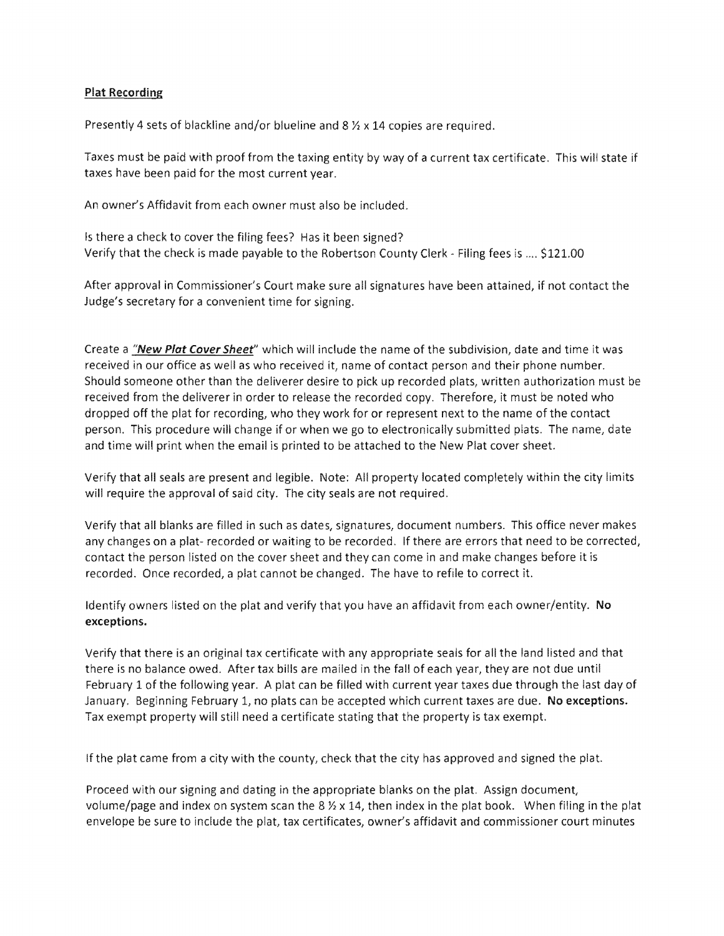## Plat Recording

Presently 4 sets of blackline and/or blueline and 8  $\frac{1}{2}$  x 14 copies are required.

Taxes must be paid with proof from the taxing entity by way of a current tax certificate. This will state if taxes have been paid for the most current year.

An owner's Affidavit from each owner must also be included.

Is there a check to cover the filing fees? Has it been signed? Verify that the check is made payable to the Robertson County Clerk - Filing fees is .... \$121.00

After approval in Commissioner's Court make sure all signatures have been attained, if not contact the Judge's secretary for a convenient time for signing.

Create a "New Plat Cover Sheet" which will include the name of the subdivision, date and time it was received in our office as well as who received it, name of contact person and their phone number. Should someone other than the deliverer desire to pick up recorded plats, written authorization must be received from the deliverer in order to release the recorded copy. Therefore, it must be noted who dropped off the plat for recording, who they work for or represent next to the name of the contact person. This procedure will change if or when we go to electronically submitted plats. The name, date and time will print when the email is printed to be attached to the New Plat cover sheet.

Verify that all seals are present and legible. Note: All property located completely within the city limits will require the approval of said city. The city seals are not required.

Verify that all blanks are filled in such as dates, signatures, document numbers. This office never makes any changes on a plat- recorded or waiting to be recorded. If there are errors that need to be corrected, contact the person listed on the cover sheet and they can come in and make changes before it is recorded. Once recorded, a plat cannot be changed. The have to refile to correct it.

Identify owners listed on the plat and verify that you have an affidavit from each owner/entity. No exceptions.

Verify that there is an original tax certificate with any appropriate seals for all the land listed and that there is no balance owed. After tax bills are mailed in the fall of each year, they are not due until February 1 of the following year. A plat can be filled with current year taxes due through the last day of January. Beginning February 1, no plats can be accepted which current taxes are due. No exceptions. Tax exempt property will still need a certificate stating that the property is tax exempt.

If the plat came from a city with the county, check that the city has approved and signed the plat.

Proceed with our signing and dating in the appropriate blanks on the plat. Assign document volume/page and index on system scan the 8  $\frac{1}{2}$  x 14, then index in the plat book. When filing in the plat envelope be sure to include the plat, tax certificates, owner's affidavit and commissioner court minutes